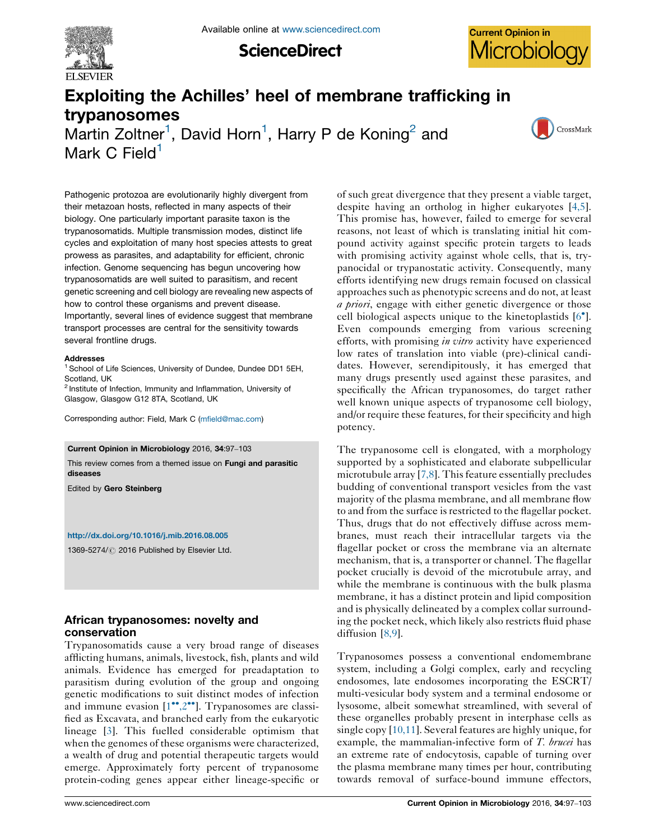

**ScienceDirect** 



# Exploiting the Achilles' heel of membrane trafficking in trypanosomes

Martin Zoltner<sup>1</sup>, David Horn<sup>1</sup>, Harry P de Koning<sup>2</sup> and Mark  $C$  Field<sup>1</sup>



Pathogenic protozoa are evolutionarily highly divergent from their metazoan hosts, reflected in many aspects of their biology. One particularly important parasite taxon is the trypanosomatids. Multiple transmission modes, distinct life cycles and exploitation of many host species attests to great prowess as parasites, and adaptability for efficient, chronic infection. Genome sequencing has begun uncovering how trypanosomatids are well suited to parasitism, and recent genetic screening and cell biology are revealing new aspects of how to control these organisms and prevent disease. Importantly, several lines of evidence suggest that membrane transport processes are central for the sensitivity towards several frontline drugs.

## Addresses

<sup>1</sup> School of Life Sciences, University of Dundee, Dundee DD1 5EH, Scotland, UK

<sup>2</sup> Institute of Infection, Immunity and Inflammation, University of Glasgow, Glasgow G12 8TA, Scotland, UK

Corresponding author: Field, Mark C [\(mfield@mac.com\)](mailto:mfield@mac.com)

## Current Opinion in Microbiology 2016, 34:97–103

This review comes from a themed issue on Fungi and parasitic diseases

Edited by Gero Steinberg

## <http://dx.doi.org/10.1016/j.mib.2016.08.005>

1369-5274/ C 2016 Published by Elsevier Ltd.

# African trypanosomes: novelty and conservation

Trypanosomatids cause a very broad range of diseases afflicting humans, animals, livestock, fish, plants and wild animals. Evidence has emerged for preadaptation to parasitism during evolution of the group and ongoing genetic modifications to suit distinct modes of infection and immune evasion [[1](#page-4-0)"[,2](#page-4-0)"]. Trypanosomes are classified as Excavata, and branched early from the eukaryotic lineage [[3\]](#page-4-0). This fuelled considerable optimism that when the genomes of these organisms were characterized, a wealth of drug and potential therapeutic targets would emerge. Approximately forty percent of trypanosome protein-coding genes appear either lineage-specific or

of such great divergence that they present a viable target, despite having an ortholog in higher eukaryotes [\[4,5\]](#page-4-0). This promise has, however, failed to emerge for several reasons, not least of which is translating initial hit compound activity against specific protein targets to leads with promising activity against whole cells, that is, trypanocidal or trypanostatic activity. Consequently, many efforts identifying new drugs remain focused on classical approaches such as phenotypic screens and do not, at least a priori, engage with either genetic divergence or those cell biological aspects unique to the kinetoplastids [[6](#page-4-0)<sup>°</sup>]. Even compounds emerging from various screening efforts, with promising *in vitro* activity have experienced low rates of translation into viable (pre)-clinical candidates. However, serendipitously, it has emerged that many drugs presently used against these parasites, and specifically the African trypanosomes, do target rather well known unique aspects of trypanosome cell biology, and/or require these features, for their specificity and high potency.

The trypanosome cell is elongated, with a morphology supported by a sophisticated and elaborate subpellicular microtubule array  $[7,8]$ . This feature essentially precludes budding of conventional transport vesicles from the vast majority of the plasma membrane, and all membrane flow to and from the surface is restricted to the flagellar pocket. Thus, drugs that do not effectively diffuse across membranes, must reach their intracellular targets via the flagellar pocket or cross the membrane via an alternate mechanism, that is, a transporter or channel. The flagellar pocket crucially is devoid of the microtubule array, and while the membrane is continuous with the bulk plasma membrane, it has a distinct protein and lipid composition and is physically delineated by a complex collar surrounding the pocket neck, which likely also restricts fluid phase diffusion [\[8,9\]](#page-4-0).

Trypanosomes possess a conventional endomembrane system, including a Golgi complex, early and recycling endosomes, late endosomes incorporating the ESCRT/ multi-vesicular body system and a terminal endosome or lysosome, albeit somewhat streamlined, with several of these organelles probably present in interphase cells as single copy [\[10,11\]](#page-4-0). Several features are highly unique, for example, the mammalian-infective form of T. brucei has an extreme rate of endocytosis, capable of turning over the plasma membrane many times per hour, contributing towards removal of surface-bound immune effectors,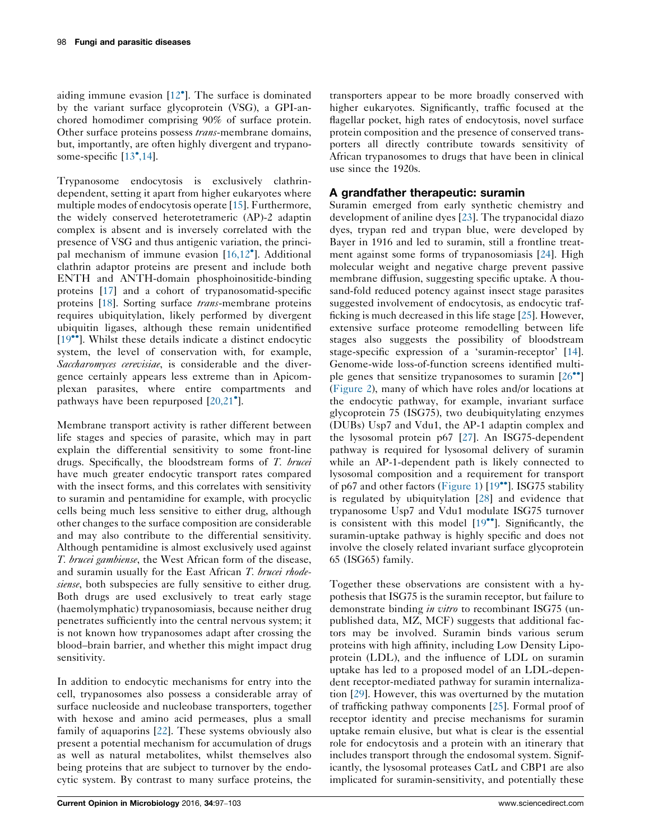aiding immune evasion  $[12^{\circ}]$  $[12^{\circ}]$  $[12^{\circ}]$ . The surface is dominated by the variant surface glycoprotein (VSG), a GPI-anchored homodimer comprising 90% of surface protein. Other surface proteins possess *trans*-membrane domains, but, importantly, are often highly divergent and trypanosome-specific  $[13^{\circ},14]$  $[13^{\circ},14]$  $[13^{\circ},14]$  $[13^{\circ},14]$ .

Trypanosome endocytosis is exclusively clathrindependent, setting it apart from higher eukaryotes where multiple modes of endocytosis operate [[15\]](#page-5-0). Furthermore, the widely conserved heterotetrameric (AP)-2 adaptin complex is absent and is inversely correlated with the presence of VSG and thus antigenic variation, the princi-pal mechanism of immune evasion [[16,12](#page-5-0)°]. Additional clathrin adaptor proteins are present and include both ENTH and ANTH-domain phosphoinositide-binding proteins [\[17](#page-5-0)] and a cohort of trypanosomatid-specific proteins [\[18](#page-5-0)]. Sorting surface trans-membrane proteins requires ubiquitylation, likely performed by divergent ubiquitin ligases, although these remain unidentified [\[19](#page-5-0)<sup>••</sup>]. Whilst these details indicate a distinct endocytic system, the level of conservation with, for example, Saccharomyces cerevisiae, is considerable and the divergence certainly appears less extreme than in Apicomplexan parasites, where entire compartments and pathways have been repurposed [\[20,21](#page-5-0)°].

Membrane transport activity is rather different between life stages and species of parasite, which may in part explain the differential sensitivity to some front-line drugs. Specifically, the bloodstream forms of T. brucei have much greater endocytic transport rates compared with the insect forms, and this correlates with sensitivity to suramin and pentamidine for example, with procyclic cells being much less sensitive to either drug, although other changes to the surface composition are considerable and may also contribute to the differential sensitivity. Although pentamidine is almost exclusively used against T. brucei gambiense, the West African form of the disease, and suramin usually for the East African T. brucei rhodesiense, both subspecies are fully sensitive to either drug. Both drugs are used exclusively to treat early stage (haemolymphatic) trypanosomiasis, because neither drug penetrates sufficiently into the central nervous system; it is not known how trypanosomes adapt after crossing the blood–brain barrier, and whether this might impact drug sensitivity.

In addition to endocytic mechanisms for entry into the cell, trypanosomes also possess a considerable array of surface nucleoside and nucleobase transporters, together with hexose and amino acid permeases, plus a small family of aquaporins [\[22](#page-5-0)]. These systems obviously also present a potential mechanism for accumulation of drugs as well as natural metabolites, whilst themselves also being proteins that are subject to turnover by the endocytic system. By contrast to many surface proteins, the

transporters appear to be more broadly conserved with higher eukaryotes. Significantly, traffic focused at the flagellar pocket, high rates of endocytosis, novel surface protein composition and the presence of conserved transporters all directly contribute towards sensitivity of African trypanosomes to drugs that have been in clinical use since the 1920s.

# A grandfather therapeutic: suramin

Suramin emerged from early synthetic chemistry and development of aniline dyes [[23\]](#page-5-0). The trypanocidal diazo dyes, trypan red and trypan blue, were developed by Bayer in 1916 and led to suramin, still a frontline treatment against some forms of trypanosomiasis [\[24](#page-5-0)]. High molecular weight and negative charge prevent passive membrane diffusion, suggesting specific uptake. A thousand-fold reduced potency against insect stage parasites suggested involvement of endocytosis, as endocytic trafficking is much decreased in this life stage [\[25](#page-5-0)]. However, extensive surface proteome remodelling between life stages also suggests the possibility of bloodstream stage-specific expression of a 'suramin-receptor' [[14](#page-5-0)]. Genome-wide loss-of-function screens identified multi-ple genes that sensitize trypanosomes to suramin [[26](#page-5-0)<sup>•</sup>] [\(Figure](#page-3-0) 2), many of which have roles and/or locations at the endocytic pathway, for example, invariant surface glycoprotein 75 (ISG75), two deubiquitylating enzymes (DUBs) Usp7 and Vdu1, the AP-1 adaptin complex and the lysosomal protein p67 [\[27](#page-5-0)]. An ISG75-dependent pathway is required for lysosomal delivery of suramin while an AP-1-dependent path is likely connected to lysosomal composition and a requirement for transport of p67 and other factors ([Figure](#page-2-0) 1) [[19](#page-5-0)\*\*]. ISG75 stability is regulated by ubiquitylation [\[28](#page-5-0)] and evidence that trypanosome Usp7 and Vdu1 modulate ISG75 turnover is consistent with this model [\[19](#page-5-0)<sup>••</sup>]. Significantly, the suramin-uptake pathway is highly specific and does not involve the closely related invariant surface glycoprotein 65 (ISG65) family.

Together these observations are consistent with a hypothesis that ISG75 is the suramin receptor, but failure to demonstrate binding *in vitro* to recombinant ISG75 (unpublished data, MZ, MCF) suggests that additional factors may be involved. Suramin binds various serum proteins with high affinity, including Low Density Lipoprotein (LDL), and the influence of LDL on suramin uptake has led to a proposed model of an LDL-dependent receptor-mediated pathway for suramin internalization [[29\]](#page-5-0). However, this was overturned by the mutation of trafficking pathway components [\[25](#page-5-0)]. Formal proof of receptor identity and precise mechanisms for suramin uptake remain elusive, but what is clear is the essential role for endocytosis and a protein with an itinerary that includes transport through the endosomal system. Significantly, the lysosomal proteases CatL and CBP1 are also implicated for suramin-sensitivity, and potentially these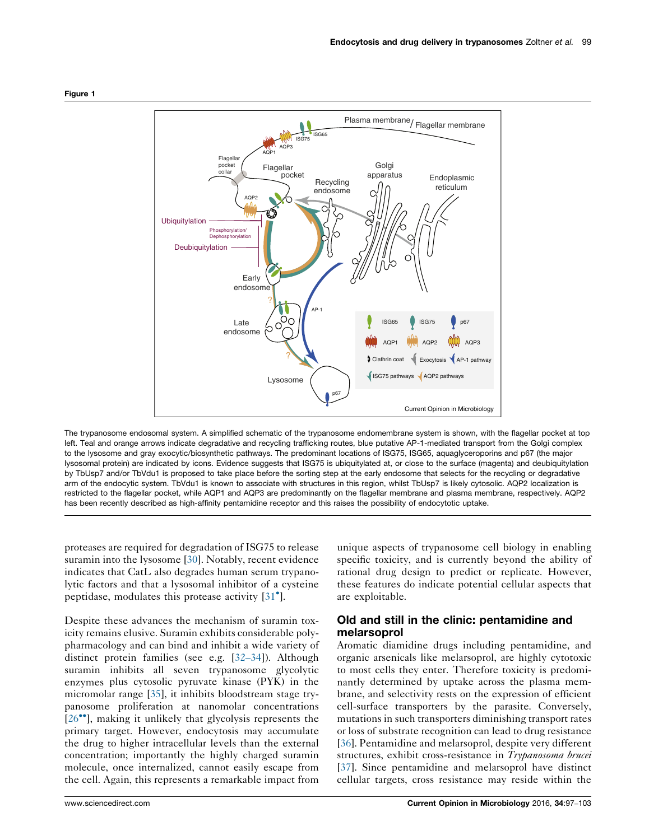

#### <span id="page-2-0"></span>Figure 1

The trypanosome endosomal system. A simplified schematic of the trypanosome endomembrane system is shown, with the flagellar pocket at top left. Teal and orange arrows indicate degradative and recycling trafficking routes, blue putative AP-1-mediated transport from the Golgi complex to the lysosome and gray exocytic/biosynthetic pathways. The predominant locations of ISG75, ISG65, aquaglyceroporins and p67 (the major lysosomal protein) are indicated by icons. Evidence suggests that ISG75 is ubiquitylated at, or close to the surface (magenta) and deubiquitylation by TbUsp7 and/or TbVdu1 is proposed to take place before the sorting step at the early endosome that selects for the recycling or degradative arm of the endocytic system. TbVdu1 is known to associate with structures in this region, whilst TbUsp7 is likely cytosolic. AQP2 localization is restricted to the flagellar pocket, while AQP1 and AQP3 are predominantly on the flagellar membrane and plasma membrane, respectively. AQP2 has been recently described as high-affinity pentamidine receptor and this raises the possibility of endocytotic uptake.

proteases are required for degradation of ISG75 to release suramin into the lysosome [[30\]](#page-5-0). Notably, recent evidence indicates that CatL also degrades human serum trypanolytic factors and that a lysosomal inhibitor of a cysteine peptidase, modulates this protease activity [\[31](#page-5-0)<sup>°</sup>].

Despite these advances the mechanism of suramin toxicity remains elusive. Suramin exhibits considerable polypharmacology and can bind and inhibit a wide variety of distinct protein families (see e.g. [32–[34\]](#page-5-0)). Although suramin inhibits all seven trypanosome glycolytic enzymes plus cytosolic pyruvate kinase (PYK) in the micromolar range [[35\]](#page-5-0), it inhibits bloodstream stage trypanosome proliferation at nanomolar concentrations [\[26](#page-5-0)<sup>••</sup>], making it unlikely that glycolysis represents the primary target. However, endocytosis may accumulate the drug to higher intracellular levels than the external concentration; importantly the highly charged suramin molecule, once internalized, cannot easily escape from the cell. Again, this represents a remarkable impact from

unique aspects of trypanosome cell biology in enabling specific toxicity, and is currently beyond the ability of rational drug design to predict or replicate. However, these features do indicate potential cellular aspects that are exploitable.

## Old and still in the clinic: pentamidine and melarsoprol

Aromatic diamidine drugs including pentamidine, and organic arsenicals like melarsoprol, are highly cytotoxic to most cells they enter. Therefore toxicity is predominantly determined by uptake across the plasma membrane, and selectivity rests on the expression of efficient cell-surface transporters by the parasite. Conversely, mutations in such transporters diminishing transport rates or loss of substrate recognition can lead to drug resistance [[36](#page-5-0)]. Pentamidine and melarsoprol, despite very different structures, exhibit cross-resistance in Trypanosoma brucei [[37](#page-5-0)]. Since pentamidine and melarsoprol have distinct cellular targets, cross resistance may reside within the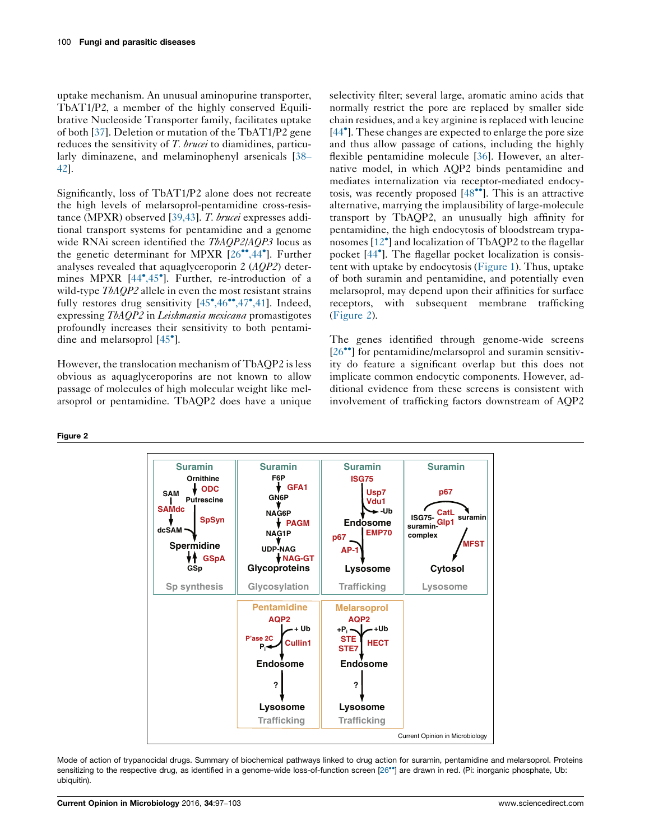<span id="page-3-0"></span>uptake mechanism. An unusual aminopurine transporter, TbAT1/P2, a member of the highly conserved Equilibrative Nucleoside Transporter family, facilitates uptake of both [\[37](#page-5-0)]. Deletion or mutation of the TbAT1/P2 gene reduces the sensitivity of T. brucei to diamidines, particularly diminazene, and melaminophenyl arsenicals [\[38](#page-5-0)– [42\]](#page-5-0).

Significantly, loss of TbAT1/P2 alone does not recreate the high levels of melarsoprol-pentamidine cross-resistance (MPXR) observed [\[39,43\]](#page-5-0). T. brucei expresses additional transport systems for pentamidine and a genome wide RNAi screen identified the TbAQP2/AQP3 locus as the genetic determinant for MPXR [[26](#page-5-0)\*[,44](#page-5-0)\*]. Further analyses revealed that aquaglyceroporin 2 (AQP2) deter-mines MPXR [[44](#page-6-0)°[,45](#page-6-0)°]. Further, re-introduction of a wild-type TbAQP2 allele in even the most resistant strains fully restores drug sensitivity  $[45^{\bullet}, 46^{\bullet \bullet}, 47^{\bullet}, 41]$  $[45^{\bullet}, 46^{\bullet \bullet}, 47^{\bullet}, 41]$  $[45^{\bullet}, 46^{\bullet \bullet}, 47^{\bullet}, 41]$ . Indeed, expressing TbAQP2 in Leishmania mexicana promastigotes profoundly increases their sensitivity to both pentami-dine and melarsoprol [[45](#page-6-0)<sup>°</sup>].

However, the translocation mechanism of TbAQP2 is less obvious as aquaglyceroporins are not known to allow passage of molecules of high molecular weight like melarsoprol or pentamidine. TbAQP2 does have a unique

selectivity filter; several large, aromatic amino acids that normally restrict the pore are replaced by smaller side chain residues, and a key arginine is replaced with leucine [\[44](#page-6-0)<sup>°</sup>]. These changes are expected to enlarge the pore size and thus allow passage of cations, including the highly flexible pentamidine molecule [\[36](#page-5-0)]. However, an alternative model, in which AQP2 binds pentamidine and mediates internalization via receptor-mediated endocy-tosis, was recently proposed [\[48](#page-6-0)<sup>••</sup>]. This is an attractive alternative, marrying the implausibility of large-molecule transport by TbAQP2, an unusually high affinity for pentamidine, the high endocytosis of bloodstream trypanosomes [\[12](#page-5-0)- ] and localization of TbAQP2 to the flagellar pocket [[44](#page-6-0)<sup>\*</sup>]. The flagellar pocket localization is consistent with uptake by endocytosis ([Figure](#page-2-0) 1). Thus, uptake of both suramin and pentamidine, and potentially even melarsoprol, may depend upon their affinities for surface receptors, with subsequent membrane trafficking (Figure 2).

The genes identified through genome-wide screens [\[26](#page-5-0)<sup>••</sup>] for pentamidine/melarsoprol and suramin sensitivity do feature a significant overlap but this does not implicate common endocytic components. However, additional evidence from these screens is consistent with involvement of trafficking factors downstream of AQP2

### Figure 2



Mode of action of trypanocidal drugs. Summary of biochemical pathways linked to drug action for suramin, pentamidine and melarsoprol. Proteins sensitizing to the respective drug, as identified in a genome-wide loss-of-function screen [[26](#page-5-0)<sup>\*</sup>] are drawn in red. (Pi: inorganic phosphate, Ub: ubiquitin).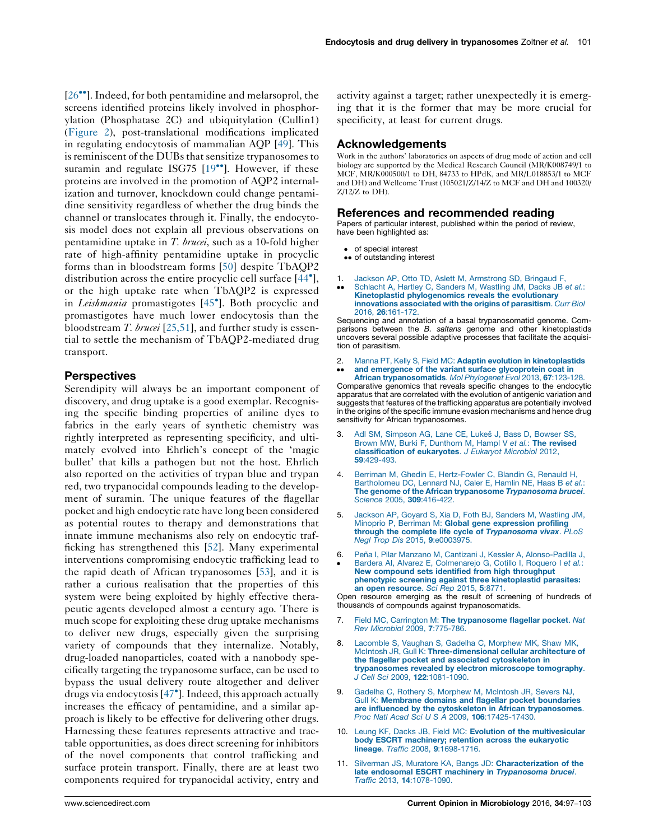<span id="page-4-0"></span>[\[26](#page-5-0)<sup>••</sup>]. Indeed, for both pentamidine and melarsoprol, the screens identified proteins likely involved in phosphorylation (Phosphatase 2C) and ubiquitylation (Cullin1) [\(Figure](#page-3-0) 2), post-translational modifications implicated in regulating endocytosis of mammalian AQP [\[49](#page-6-0)]. This is reminiscent of the DUBs that sensitize trypanosomes to suramin and regulate ISG75 [[19](#page-5-0)\*\*]. However, if these proteins are involved in the promotion of AQP2 internalization and turnover, knockdown could change pentamidine sensitivity regardless of whether the drug binds the

channel or translocates through it. Finally, the endocytosis model does not explain all previous observations on pentamidine uptake in T. brucei, such as a 10-fold higher rate of high-affinity pentamidine uptake in procyclic forms than in bloodstream forms [[50](#page-6-0)] despite TbAQP2 distribution across the entire procyclic cell surface [\[44](#page-6-0)<sup>°</sup>], or the high uptake rate when TbAQP2 is expressed in Leishmania promastigotes [\[45](#page-6-0)<sup>°</sup>]. Both procyclic and promastigotes have much lower endocytosis than the bloodstream T. brucei [[25,51\]](#page-5-0), and further study is essential to settle the mechanism of TbAQP2-mediated drug transport.

## **Perspectives**

Serendipity will always be an important component of discovery, and drug uptake is a good exemplar. Recognising the specific binding properties of aniline dyes to fabrics in the early years of synthetic chemistry was rightly interpreted as representing specificity, and ultimately evolved into Ehrlich's concept of the 'magic bullet' that kills a pathogen but not the host. Ehrlich also reported on the activities of trypan blue and trypan red, two trypanocidal compounds leading to the development of suramin. The unique features of the flagellar pocket and high endocytic rate have long been considered as potential routes to therapy and demonstrations that innate immune mechanisms also rely on endocytic trafficking has strengthened this [\[52\]](#page-6-0). Many experimental interventions compromising endocytic trafficking lead to the rapid death of African trypanosomes [[53\]](#page-6-0), and it is rather a curious realisation that the properties of this system were being exploited by highly effective therapeutic agents developed almost a century ago. There is much scope for exploiting these drug uptake mechanisms to deliver new drugs, especially given the surprising variety of compounds that they internalize. Notably, drug-loaded nanoparticles, coated with a nanobody specifically targeting the trypanosome surface, can be used to bypass the usual delivery route altogether and deliver drugs via endocytosis [[47](#page-6-0)<sup>°</sup>]. Indeed, this approach actually increases the efficacy of pentamidine, and a similar approach is likely to be effective for delivering other drugs. Harnessing these features represents attractive and tractable opportunities, as does direct screening for inhibitors of the novel components that control trafficking and surface protein transport. Finally, there are at least two components required for trypanocidal activity, entry and

activity against a target; rather unexpectedly it is emerging that it is the former that may be more crucial for specificity, at least for current drugs.

# Acknowledgements

Work in the authors' laboratories on aspects of drug mode of action and cell biology are supported by the Medical Research Council (MR/K008749/1 to MCF, MR/K000500/1 to DH, 84733 to HPdK, and MR/L018853/1 to MCF and DH) and Wellcome Trust (105021/Z/14/Z to MCF and DH and 100320/ Z/12/Z to DH).

## References and recommended reading

Papers of particular interest, published within the period of review, have been highlighted as:

- of special interest
- •• of outstanding interest
- 1. -Jackson AP, Otto TD, Aslett M, [Armstrong](http://refhub.elsevier.com/S1369-5274(16)30122-9/sbref0005) SD, Bringaud F,
- -[Schlacht](http://refhub.elsevier.com/S1369-5274(16)30122-9/sbref0005) A, Hartley C, Sanders M, Wastling JM, Dacks JB et al.: Kinetoplastid [phylogenomics](http://refhub.elsevier.com/S1369-5274(16)30122-9/sbref0005) reveals the evolutionary [innovations](http://refhub.elsevier.com/S1369-5274(16)30122-9/sbref0005) associated with the origins of parasitism. Curr Biol 2016, 26[:161-172.](http://refhub.elsevier.com/S1369-5274(16)30122-9/sbref0005)

Sequencing and annotation of a basal trypanosomatid genome. Comparisons between the B. saltans genome and other kinetoplastids uncovers several possible adaptive processes that facilitate the acquisition of parasitism.

- 2. Manna PT, Kelly S, Field MC: Adaptin evolution in [kinetoplastids](http://refhub.elsevier.com/S1369-5274(16)30122-9/sbref0010) and emergence of the variant surface [glycoprotein](http://refhub.elsevier.com/S1369-5274(16)30122-9/sbref0010) coat in
- $\bullet\bullet$ African [trypanosomatids](http://refhub.elsevier.com/S1369-5274(16)30122-9/sbref0010). Mol Phylogenet Evol 2013, 67:123-128. Comparative genomics that reveals specific changes to the endocytic

apparatus that are correlated with the evolution of antigenic variation and suggests that features of the trafficking apparatus are potentially involved in the origins of the specific immune evasion mechanisms and hence drug sensitivity for African trypanosomes.

- 3. Adl SM, [Simpson](http://refhub.elsevier.com/S1369-5274(16)30122-9/sbref0015) AG, Lane CE, Lukeš J, Bass D, Bowser SS, Brown MW, Burki F, [Dunthorn](http://refhub.elsevier.com/S1369-5274(16)30122-9/sbref0015) M, Hampl V et al.: The revised [classification](http://refhub.elsevier.com/S1369-5274(16)30122-9/sbref0015) of eukaryotes. J Eukaryot Microbiol 2012, 59[:429-493.](http://refhub.elsevier.com/S1369-5274(16)30122-9/sbref0015)
- 4. Berriman M, Ghedin E, [Hertz-Fowler](http://refhub.elsevier.com/S1369-5274(16)30122-9/sbref0020) C, Blandin G, Renauld H, [Bartholomeu](http://refhub.elsevier.com/S1369-5274(16)30122-9/sbref0020) DC, Lennard NJ, Caler E, Hamlin NE, Haas B et al.: The genome of the African trypanosome [Trypanosoma](http://refhub.elsevier.com/S1369-5274(16)30122-9/sbref0020) brucei. Science 2005, 309[:416-422.](http://refhub.elsevier.com/S1369-5274(16)30122-9/sbref0020)
- 5. Jackson AP, Goyard S, Xia D, Foth BJ, Sanders M, [Wastling](http://refhub.elsevier.com/S1369-5274(16)30122-9/sbref0025) JM, Minoprio P, Berriman M: Global gene [expression](http://refhub.elsevier.com/S1369-5274(16)30122-9/sbref0025) profiling through the complete life cycle of [Trypanosoma](http://refhub.elsevier.com/S1369-5274(16)30122-9/sbref0025) vivax. PLoS Negl Trop Dis 2015, 9[:e0003975.](http://refhub.elsevier.com/S1369-5274(16)30122-9/sbref0025)
- 6. -Peña I, Pilar Manzano M, Cantizani J, Kessler A, [Alonso-Padilla](http://refhub.elsevier.com/S1369-5274(16)30122-9/sbref0030) J, Bardera AI, Alvarez E, [Colmenarejo](http://refhub.elsevier.com/S1369-5274(16)30122-9/sbref0030) G, Cotillo I, Roquero I et al.: New compound sets identified from high [throughput](http://refhub.elsevier.com/S1369-5274(16)30122-9/sbref0030) phenotypic screening against three [kinetoplastid](http://refhub.elsevier.com/S1369-5274(16)30122-9/sbref0030) parasites: an open [resource](http://refhub.elsevier.com/S1369-5274(16)30122-9/sbref0030). Sci Rep 2015, 5:8771.

Open resource emerging as the result of screening of hundreds of thousands of compounds against trypanosomatids.

- 7. Field MC, Carrington M: The [trypanosome](http://refhub.elsevier.com/S1369-5274(16)30122-9/sbref0035) flagellar pocket. Nat Rev Microbiol 2009, 7[:775-786.](http://refhub.elsevier.com/S1369-5274(16)30122-9/sbref0035)
- 8. [Lacomble](http://refhub.elsevier.com/S1369-5274(16)30122-9/sbref0040) S, Vaughan S, Gadelha C, Morphew MK, Shaw MK, McIntosh JR, Gull K: [Three-dimensional](http://refhub.elsevier.com/S1369-5274(16)30122-9/sbref0040) cellular architecture of the flagellar pocket and associated [cytoskeleton](http://refhub.elsevier.com/S1369-5274(16)30122-9/sbref0040) in [trypanosomes](http://refhub.elsevier.com/S1369-5274(16)30122-9/sbref0040) revealed by electron microscope tomography. J Cell Sci 2009, 122[:1081-1090.](http://refhub.elsevier.com/S1369-5274(16)30122-9/sbref0040)
- 9. Gadelha C, Rothery S, [Morphew](http://refhub.elsevier.com/S1369-5274(16)30122-9/sbref0045) M, McIntosh JR, Severs NJ, Gull K: Membrane domains and flagellar pocket [boundaries](http://refhub.elsevier.com/S1369-5274(16)30122-9/sbref0045) are influenced by the cytoskeleton in African [trypanosomes](http://refhub.elsevier.com/S1369-5274(16)30122-9/sbref0045). Proc Natl Acad Sci U S A 2009, 106[:17425-17430.](http://refhub.elsevier.com/S1369-5274(16)30122-9/sbref0045)
- 10. Leung KF, Dacks JB, Field MC: Evolution of the [multivesicular](http://refhub.elsevier.com/S1369-5274(16)30122-9/sbref0050) body ESCRT [machinery;](http://refhub.elsevier.com/S1369-5274(16)30122-9/sbref0050) retention across the eukaryotic lineage. Traffic 2008, 9[:1698-1716.](http://refhub.elsevier.com/S1369-5274(16)30122-9/sbref0050)
- 11. Silverman JS, Muratore KA, Bangs JD: [Characterization](http://refhub.elsevier.com/S1369-5274(16)30122-9/sbref0055) of the late endosomal ESCRT machinery in [Trypanosoma](http://refhub.elsevier.com/S1369-5274(16)30122-9/sbref0055) brucei. Traffic 2013, 14[:1078-1090.](http://refhub.elsevier.com/S1369-5274(16)30122-9/sbref0055)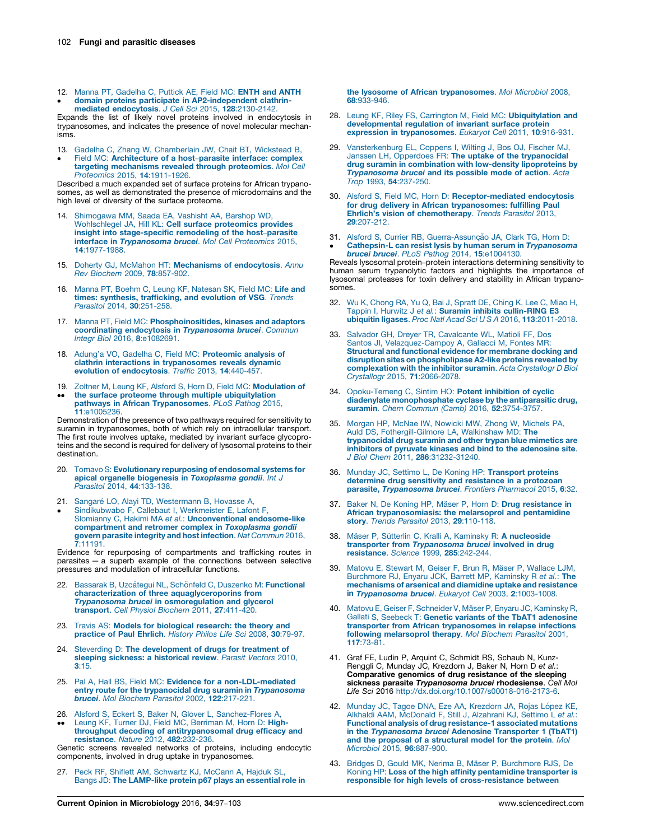<span id="page-5-0"></span>12. Manna PT, [Gadelha](http://refhub.elsevier.com/S1369-5274(16)30122-9/sbref0060) C, Puttick AE, Field MC: ENTH and ANTH  $\bullet$ domain proteins participate in [AP2-independent](http://refhub.elsevier.com/S1369-5274(16)30122-9/sbref0060) clathrinmediated [endocytosis](http://refhub.elsevier.com/S1369-5274(16)30122-9/sbref0060). J Cell Sci 2015, 128:2130-2142.

Expands the list of likely novel proteins involved in endocytosis in trypanosomes, and indicates the presence of novel molecular mechanisms.

- 13. Gadelha C, Zhang W, [Chamberlain](http://refhub.elsevier.com/S1369-5274(16)30122-9/sbref0065) JW, Chait BT, Wickstead B,
- $\bullet$ Field MC: [Architecture](http://refhub.elsevier.com/S1369-5274(16)30122-9/sbref0065) of a host–parasite interface: complex targeting [mechanisms](http://refhub.elsevier.com/S1369-5274(16)30122-9/sbref0065) revealed through proteomics. Mol Cell Proteomics 2015, 14[:1911-1926.](http://refhub.elsevier.com/S1369-5274(16)30122-9/sbref0065)

Described a much expanded set of surface proteins for African trypanosomes, as well as demonstrated the presence of microdomains and the high level of diversity of the surface proteome.

- 14. [Shimogawa](http://refhub.elsevier.com/S1369-5274(16)30122-9/sbref0070) MM, Saada EA, Vashisht AA, Barshop WD, [Wohlschlegel](http://refhub.elsevier.com/S1369-5274(16)30122-9/sbref0070) JA, Hill KL: Cell surface proteomics provides insight into [stage-specific](http://refhub.elsevier.com/S1369-5274(16)30122-9/sbref0070) remodeling of the host–parasite interface in [Trypanosoma](http://refhub.elsevier.com/S1369-5274(16)30122-9/sbref0070) brucei. Mol Cell Proteomics 2015, 14[:1977-1988.](http://refhub.elsevier.com/S1369-5274(16)30122-9/sbref0070)
- 15. Doherty GJ, McMahon HT: [Mechanisms](http://refhub.elsevier.com/S1369-5274(16)30122-9/sbref0075) of endocytosis. Annu Rev Biochem 2009, 78[:857-902.](http://refhub.elsevier.com/S1369-5274(16)30122-9/sbref0075)
- 16. Manna PT, Boehm C, Leung KF, [Natesan](http://refhub.elsevier.com/S1369-5274(16)30122-9/sbref0080) SK, Field MC: Life and **times: synthesis, [trafficking,](http://refhub.elsevier.com/S1369-5274(16)30122-9/sbref0080) and evolution of VSG**. *Trends*<br>*Parasitol 2014, 3*0[:251-258.](http://refhub.elsevier.com/S1369-5274(16)30122-9/sbref0080)
- 17. Manna PT, Field MC: [Phosphoinositides,](http://refhub.elsevier.com/S1369-5274(16)30122-9/sbref0085) kinases and adaptors coordinating endocytosis in [Trypanosoma](http://refhub.elsevier.com/S1369-5274(16)30122-9/sbref0085) brucei. Commun Integr Biol 2016, 8[:e1082691.](http://refhub.elsevier.com/S1369-5274(16)30122-9/sbref0085)
- 18. Adung'a VO, Gadelha C, Field MC: [Proteomic](http://refhub.elsevier.com/S1369-5274(16)30122-9/sbref0090) analysis of clathrin interactions in [trypanosomes](http://refhub.elsevier.com/S1369-5274(16)30122-9/sbref0090) reveals dynamic evolution of [endocytosis](http://refhub.elsevier.com/S1369-5274(16)30122-9/sbref0090). Traffic 2013, 14:440-457.
- 19. Zoltner M, Leung KF, Alsford S, Horn D, Field MC: [Modulation](http://refhub.elsevier.com/S1369-5274(16)30122-9/sbref0095) of the surface proteome through multiple [ubiquitylation](http://refhub.elsevier.com/S1369-5274(16)30122-9/sbref0095)
- $\bullet\bullet$ pathways in African [Trypanosomes](http://refhub.elsevier.com/S1369-5274(16)30122-9/sbref0095). PLoS Pathog 2015, 11[:e1005236.](http://refhub.elsevier.com/S1369-5274(16)30122-9/sbref0095)

Demonstration of the presence of two pathways required for sensitivity to suramin in trypanosomes, both of which rely on intracellular transport. The first route involves uptake, mediated by invariant surface glycoproteins and the second is required for delivery of lysosomal proteins to their destination.

- 20. Tomavo S: [Evolutionary](http://refhub.elsevier.com/S1369-5274(16)30122-9/sbref0100) repurposing of endosomal systems for apical organelle biogenesis in [Toxoplasma](http://refhub.elsevier.com/S1369-5274(16)30122-9/sbref0100) gondii. Int J Parasitol 2014, 44[:133-138.](http://refhub.elsevier.com/S1369-5274(16)30122-9/sbref0100)
- 21. Sangaré LO, Alayi TD, [Westermann](http://refhub.elsevier.com/S1369-5274(16)30122-9/sbref0105) B, Hovasse A,
- $\bullet$ [Sindikubwabo](http://refhub.elsevier.com/S1369-5274(16)30122-9/sbref0105) F, Callebaut I, Werkmeister E, Lafont F,<br>Slomianny C, Hakimi MA e*t al.*: **[Unconventional](http://refhub.elsevier.com/S1369-5274(16)30122-9/sbref0105) endosome-like** [compartment](http://refhub.elsevier.com/S1369-5274(16)30122-9/sbref0105) and retromer complex in Toxoplasma gondii **govern parasite integrity and host [infection](http://refhub.elsevier.com/S1369-5274(16)30122-9/sbref0105)**. *Nat Commun* 2016,<br>**7**[:11191.](http://refhub.elsevier.com/S1369-5274(16)30122-9/sbref0105)

Evidence for repurposing of compartments and trafficking routes in parasites — a superb example of the connections between selective pressures and modulation of intracellular functions.

- 22. Bassarak B, Uzcátegui NL, Schönfeld C, Duszenko M: [Functional](http://refhub.elsevier.com/S1369-5274(16)30122-9/sbref0110) characterization of three [aquaglyceroporins](http://refhub.elsevier.com/S1369-5274(16)30122-9/sbref0110) from Trypanosoma brucei in [osmoregulation](http://refhub.elsevier.com/S1369-5274(16)30122-9/sbref0110) and glycerol [transport](http://refhub.elsevier.com/S1369-5274(16)30122-9/sbref0110). Cell Physiol Biochem 2011, 27:411-420.
- 23. Travis AS: Models for [biological](http://refhub.elsevier.com/S1369-5274(16)30122-9/sbref0115) research: the theory and [practice](http://refhub.elsevier.com/S1369-5274(16)30122-9/sbref0115) of Paul Ehrlich. History Philos Life Sci 2008, 30:79-97.
- 24. Steverding D: The [development](http://refhub.elsevier.com/S1369-5274(16)30122-9/sbref0120) of drugs for treatment of sleeping [sickness:](http://refhub.elsevier.com/S1369-5274(16)30122-9/sbref0120) a historical review. Parasit Vectors 2010, 3[:15.](http://refhub.elsevier.com/S1369-5274(16)30122-9/sbref0120)
- 25. Pal A, Hall BS, Field MC: Evidence for a [non-LDL-mediated](http://refhub.elsevier.com/S1369-5274(16)30122-9/sbref0125) entry route for the trypanocidal drug suramin in *[Trypanosoma](http://refhub.elsevier.com/S1369-5274(16)30122-9/sbref0125)*<br>*brucei. Mol Biochem Parasitol* 2002, 1**22**[:217-221.](http://refhub.elsevier.com/S1369-5274(16)30122-9/sbref0125)
- 26. Alsford S, Eckert S, Baker N, Glover L, [Sanchez-Flores](http://refhub.elsevier.com/S1369-5274(16)30122-9/sbref0130) A,
- $\bullet$  $\bullet$ Leung KF, Turner DJ, Field MC, [Berriman](http://refhub.elsevier.com/S1369-5274(16)30122-9/sbref0130) M, Horn D: Highthroughput decoding of [antitrypanosomal](http://refhub.elsevier.com/S1369-5274(16)30122-9/sbref0130) drug efficacy and [resistance](http://refhub.elsevier.com/S1369-5274(16)30122-9/sbref0130). Nature 2012, 482:232-236.

Genetic screens revealed networks of proteins, including endocytic components, involved in drug uptake in trypanosomes.

27. Peck RF, Shiflett AM, [Schwartz](http://refhub.elsevier.com/S1369-5274(16)30122-9/sbref0135) KJ, McCann A, Hajduk SL, Bangs JD: The [LAMP-like](http://refhub.elsevier.com/S1369-5274(16)30122-9/sbref0135) protein p67 plays an essential role in the lysosome of African [trypanosomes](http://refhub.elsevier.com/S1369-5274(16)30122-9/sbref0135). Mol Microbiol 2008, 68[:933-946.](http://refhub.elsevier.com/S1369-5274(16)30122-9/sbref0135)

- 28. Leung KF, Riley FS, Carrington M, Field MC: [Ubiquitylation](http://refhub.elsevier.com/S1369-5274(16)30122-9/sbref0140) and [developmental](http://refhub.elsevier.com/S1369-5274(16)30122-9/sbref0140) regulation of invariant surface protein expression in [trypanosomes](http://refhub.elsevier.com/S1369-5274(16)30122-9/sbref0140). Eukaryot Cell 2011, 10:916-931.
- 29. [Vansterkenburg](http://refhub.elsevier.com/S1369-5274(16)30122-9/sbref0145) EL, Coppens I, Wilting J, Bos OJ, Fischer MJ, Janssen LH, Opperdoes FR: The uptake of the [trypanocidal](http://refhub.elsevier.com/S1369-5274(16)30122-9/sbref0145) drug suramin in [combination](http://refhub.elsevier.com/S1369-5274(16)30122-9/sbref0145) with low-density lipoproteins by [Trypanosoma](http://refhub.elsevier.com/S1369-5274(16)30122-9/sbref0145) brucei and its possible mode of action. Acta Trop 1993, 54[:237-250.](http://refhub.elsevier.com/S1369-5274(16)30122-9/sbref0145)
- 30. Alsford S, Field MC, Horn D: [Receptor-mediated](http://refhub.elsevier.com/S1369-5274(16)30122-9/sbref0150) endocytosis for drug delivery in African [trypanosomes:](http://refhub.elsevier.com/S1369-5274(16)30122-9/sbref0150) fulfilling Paul Ehrlich's vision of [chemotherapy](http://refhub.elsevier.com/S1369-5274(16)30122-9/sbref0150). Trends Parasitol 2013, 29[:207-212.](http://refhub.elsevier.com/S1369-5274(16)30122-9/sbref0150)
- 31. Alsford S, Currier RB, Guerra-Assunção JA, [Clark](http://refhub.elsevier.com/S1369-5274(16)30122-9/sbref0155) TG, Horn D: -Cathepsin-L can resist lysis by human serum in [Trypanosoma](http://refhub.elsevier.com/S1369-5274(16)30122-9/sbref0155) brucei brucei. PLoS Pathog 2014, 15[:e1004130.](http://refhub.elsevier.com/S1369-5274(16)30122-9/sbref0155)

Reveals lysosomal protein–protein interactions determining sensitivity to human serum trypanolytic factors and highlights the importance of lysosomal proteases for toxin delivery and stability in African trypanosomes.

- 32. Wu K, [Chong](http://refhub.elsevier.com/S1369-5274(16)30122-9/sbref0160) RA, Yu Q, Bai J, Spratt DE, Ching K, Lee C, Miao H, Tappin I, Hurwitz J et al.: Suramin inhibits [cullin-RING](http://refhub.elsevier.com/S1369-5274(16)30122-9/sbref0160) E3 ubiquitin ligases. Proc Natl Acad Sci U S A 2016, 113[:2011-2018.](http://refhub.elsevier.com/S1369-5274(16)30122-9/sbref0160)
- 33. Salvador GH, Dreyer TR, [Cavalcante](http://refhub.elsevier.com/S1369-5274(16)30122-9/sbref0165) WL, Matioli FF, Dos Santos JI, [Velazquez-Campoy](http://refhub.elsevier.com/S1369-5274(16)30122-9/sbref0165) A, Gallacci M, Fontes MR: Structural and functional evidence for [membrane](http://refhub.elsevier.com/S1369-5274(16)30122-9/sbref0165) docking and disruption sites on [phospholipase](http://refhub.elsevier.com/S1369-5274(16)30122-9/sbref0165) A2-like proteins revealed by [complexation](http://refhub.elsevier.com/S1369-5274(16)30122-9/sbref0165) with the inhibitor suramin. Acta Crystallogr D Biol Crystallogr 2015, 71[:2066-2078.](http://refhub.elsevier.com/S1369-5274(16)30122-9/sbref0165)
- 34. [Opoku-Temeng](http://refhub.elsevier.com/S1369-5274(16)30122-9/sbref0170) C, Sintim HO: Potent inhibition of cyclic diadenylate [monophosphate](http://refhub.elsevier.com/S1369-5274(16)30122-9/sbref0170) cyclase by the antiparasitic drug, suramin. Chem Commun (Camb) 2016, 52[:3754-3757.](http://refhub.elsevier.com/S1369-5274(16)30122-9/sbref0170)
- 35. Morgan HP, McNae IW, [Nowicki](http://refhub.elsevier.com/S1369-5274(16)30122-9/sbref0175) MW, Zhong W, Michels PA, Auld DS, [Fothergill-Gilmore](http://refhub.elsevier.com/S1369-5274(16)30122-9/sbref0175) LA, Walkinshaw MD: The [trypanocidal](http://refhub.elsevier.com/S1369-5274(16)30122-9/sbref0175) drug suramin and other trypan blue mimetics are inhibitors of pyruvate kinases and bind to the [adenosine](http://refhub.elsevier.com/S1369-5274(16)30122-9/sbref0175) site.<br>J Biol Chem 2011, 286[:31232-31240.](http://refhub.elsevier.com/S1369-5274(16)30122-9/sbref0175)
- 36. Munday JC, Settimo L, De Koning HP: [Transport](http://refhub.elsevier.com/S1369-5274(16)30122-9/sbref0180) proteins determine drug sensitivity and [resistance](http://refhub.elsevier.com/S1369-5274(16)30122-9/sbref0180) in a protozoan parasite, [Trypanosoma](http://refhub.elsevier.com/S1369-5274(16)30122-9/sbref0180) brucei. Frontiers Pharmacol 2015, 6:32.
- 37. Baker N, De Koning HP, Mäser P, Horn D: Drug [resistance](http://refhub.elsevier.com/S1369-5274(16)30122-9/sbref0185) in African [trypanosomiasis:](http://refhub.elsevier.com/S1369-5274(16)30122-9/sbref0185) the melarsoprol and pentamidine story. Trends Parasitol 2013, 29[:110-118.](http://refhub.elsevier.com/S1369-5274(16)30122-9/sbref0185)
- 38. Mäser P, Sütterlin C, Kralli A, Kaminsky R: A [nucleoside](http://refhub.elsevier.com/S1369-5274(16)30122-9/sbref0190) transporter from [Trypanosoma](http://refhub.elsevier.com/S1369-5274(16)30122-9/sbref0190) brucei involved in drug [resistance](http://refhub.elsevier.com/S1369-5274(16)30122-9/sbref0190). Science 1999, 285:242-244.
- 39. Matovu E, Stewart M, Geiser F, Brun R, Mäser P, [Wallace](http://refhub.elsevier.com/S1369-5274(16)30122-9/sbref0195) LJM, [Burchmore](http://refhub.elsevier.com/S1369-5274(16)30122-9/sbref0195) RJ, Enyaru JCK, Barrett MP, Kaminsky R et al.: The [mechanisms](http://refhub.elsevier.com/S1369-5274(16)30122-9/sbref0195) of arsenical and diamidine uptake and resistance in [Trypanosoma](http://refhub.elsevier.com/S1369-5274(16)30122-9/sbref0195) brucei. Eukaryot Cell 2003, 2:1003-1008.
- 40. Matovu E, Geiser F, [Schneider](http://refhub.elsevier.com/S1369-5274(16)30122-9/sbref0200) V, Mäser P, Enyaru JC, Kaminsky R, Gallati S, Seebeck T: Genetic variants of the TbAT1 [adenosine](http://refhub.elsevier.com/S1369-5274(16)30122-9/sbref0200) transporter from African [trypanosomes](http://refhub.elsevier.com/S1369-5274(16)30122-9/sbref0200) in relapse infections following [melarsoprol](http://refhub.elsevier.com/S1369-5274(16)30122-9/sbref0200) therapy. Mol Biochem Parasitol 2001, 117[:73-81.](http://refhub.elsevier.com/S1369-5274(16)30122-9/sbref0200)
- 41. Graf FE, Ludin P, Arquint C, Schmidt RS, Schaub N, Kunz-Renggli C, Munday JC, Krezdorn J, Baker N, Horn D et al. Comparative genomics of drug resistance of the sleeping sickness parasite Trypanosoma brucei rhodesiense. Cell Mol Life Sci 2016 <http://dx.doi.org/10.1007/s00018-016-2173-6>.
- 42. Munday JC, Tagoe DNA, Eze AA, [Krezdorn](http://refhub.elsevier.com/S1369-5274(16)30122-9/sbref0210) JA, Rojas López KE,<br>Alkhaldi AAM, [McDonald](http://refhub.elsevier.com/S1369-5274(16)30122-9/sbref0210) F, Still J, Alzahrani KJ, Settimo L et al.: Functional analysis of drug [resistance-1](http://refhub.elsevier.com/S1369-5274(16)30122-9/sbref0210) associated mutations in the [Trypanosoma](http://refhub.elsevier.com/S1369-5274(16)30122-9/sbref0210) brucei Adenosine Transporter 1 (TbAT1) and the proposal of a [structural](http://refhub.elsevier.com/S1369-5274(16)30122-9/sbref0210) model for the protein. Mol Microbiol 2015, 96[:887-900.](http://refhub.elsevier.com/S1369-5274(16)30122-9/sbref0210)
- 43. Bridges D, Gould MK, Nerima B, Mäser P, [Burchmore](http://refhub.elsevier.com/S1369-5274(16)30122-9/sbref0215) RJS, De Koning HP: Loss of the high affinity [pentamidine](http://refhub.elsevier.com/S1369-5274(16)30122-9/sbref0215) transporter is responsible for high levels of [cross-resistance](http://refhub.elsevier.com/S1369-5274(16)30122-9/sbref0215) between